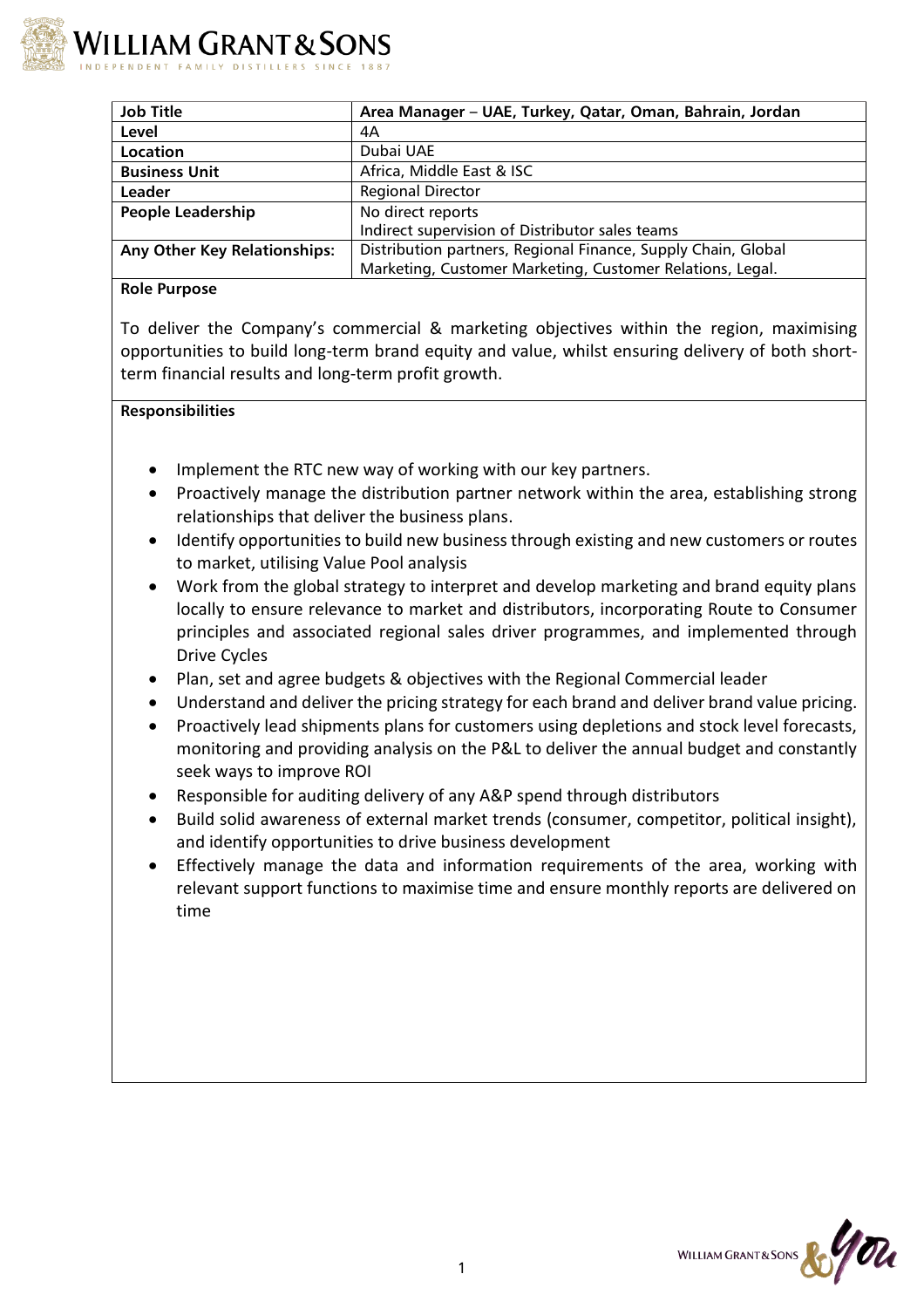

| <b>Job Title</b>                    | Area Manager - UAE, Turkey, Qatar, Oman, Bahrain, Jordan      |
|-------------------------------------|---------------------------------------------------------------|
| Level                               | 4A                                                            |
| Location                            | Dubai UAE                                                     |
| <b>Business Unit</b>                | Africa, Middle East & ISC                                     |
| Leader                              | <b>Regional Director</b>                                      |
| <b>People Leadership</b>            | No direct reports                                             |
|                                     | Indirect supervision of Distributor sales teams               |
| <b>Any Other Key Relationships:</b> | Distribution partners, Regional Finance, Supply Chain, Global |
|                                     | Marketing, Customer Marketing, Customer Relations, Legal.     |

## **Role Purpose**

To deliver the Company's commercial & marketing objectives within the region, maximising opportunities to build long-term brand equity and value, whilst ensuring delivery of both shortterm financial results and long-term profit growth.

## **Responsibilities**

- Implement the RTC new way of working with our key partners.
- Proactively manage the distribution partner network within the area, establishing strong relationships that deliver the business plans.
- Identify opportunities to build new business through existing and new customers or routes to market, utilising Value Pool analysis
- Work from the global strategy to interpret and develop marketing and brand equity plans locally to ensure relevance to market and distributors, incorporating Route to Consumer principles and associated regional sales driver programmes, and implemented through Drive Cycles
- Plan, set and agree budgets & objectives with the Regional Commercial leader
- Understand and deliver the pricing strategy for each brand and deliver brand value pricing.
- Proactively lead shipments plans for customers using depletions and stock level forecasts, monitoring and providing analysis on the P&L to deliver the annual budget and constantly seek ways to improve ROI
- Responsible for auditing delivery of any A&P spend through distributors
- Build solid awareness of external market trends (consumer, competitor, political insight), and identify opportunities to drive business development
- Effectively manage the data and information requirements of the area, working with relevant support functions to maximise time and ensure monthly reports are delivered on time